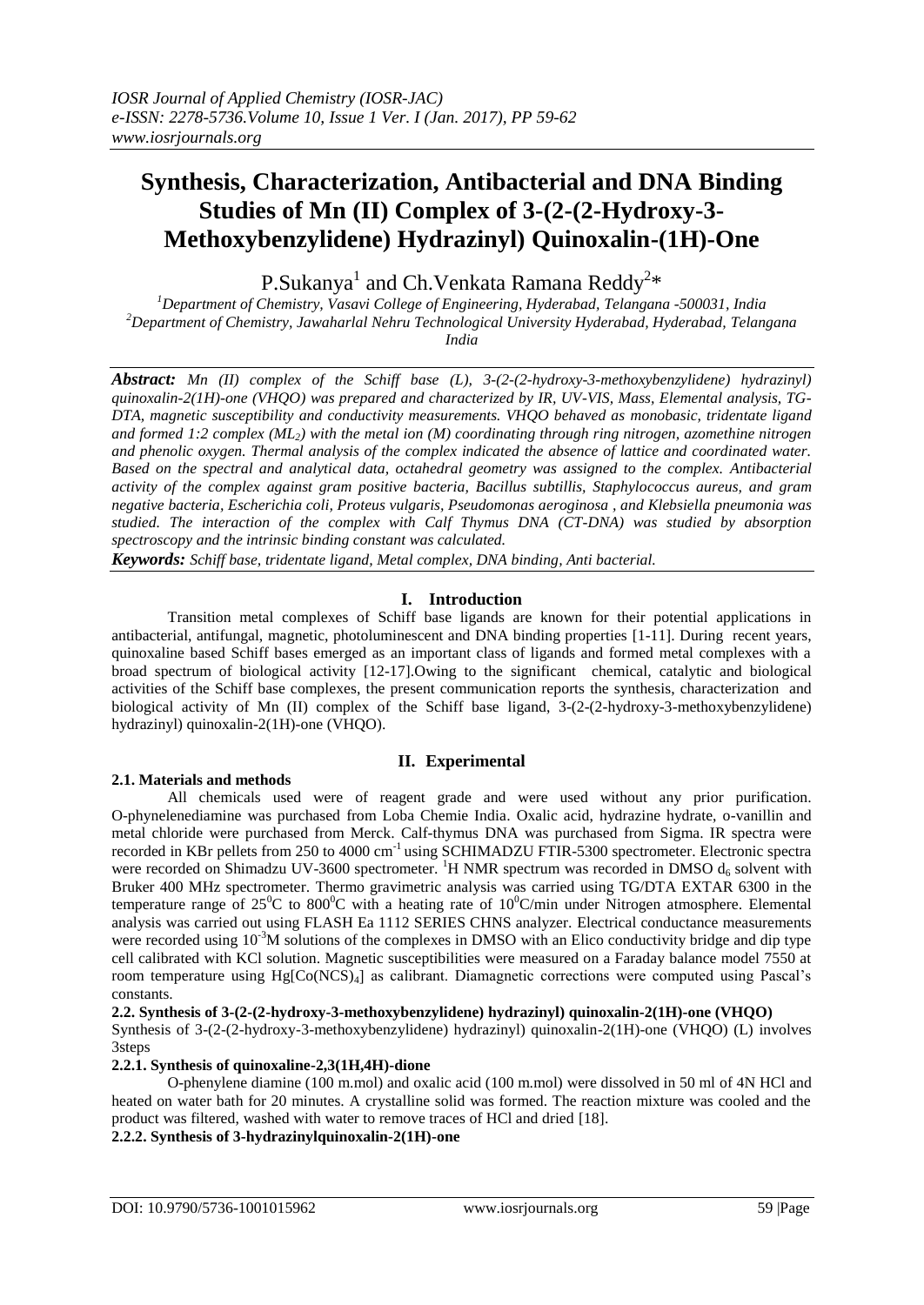# **Synthesis, Characterization, Antibacterial and DNA Binding Studies of Mn (II) Complex of 3-(2-(2-Hydroxy-3- Methoxybenzylidene) Hydrazinyl) Quinoxalin-(1H)-One**

P.Sukanya $^{\rm l}$  and Ch.Venkata Ramana Reddy $^{\rm 2*}$ 

*<sup>1</sup>Department of Chemistry, Vasavi College of Engineering, Hyderabad, Telangana -500031, India <sup>2</sup>Department of Chemistry, Jawaharlal Nehru Technological University Hyderabad, Hyderabad, Telangana India*

*Abstract: Mn (II) complex of the Schiff base (L), 3-(2-(2-hydroxy-3-methoxybenzylidene) hydrazinyl) quinoxalin-2(1H)-one (VHQO) was prepared and characterized by IR, UV-VIS, Mass, Elemental analysis, TG-DTA, magnetic susceptibility and conductivity measurements. VHQO behaved as monobasic, tridentate ligand and formed 1:2 complex (ML2) with the metal ion (M) coordinating through ring nitrogen, azomethine nitrogen and phenolic oxygen. Thermal analysis of the complex indicated the absence of lattice and coordinated water. Based on the spectral and analytical data, octahedral geometry was assigned to the complex. Antibacterial activity of the complex against gram positive bacteria, Bacillus subtillis, Staphylococcus aureus, and gram negative bacteria, Escherichia coli, Proteus vulgaris, Pseudomonas aeroginosa , and Klebsiella pneumonia was studied. The interaction of the complex with Calf Thymus DNA (CT-DNA) was studied by absorption spectroscopy and the intrinsic binding constant was calculated.*

*Keywords: Schiff base, tridentate ligand, Metal complex, DNA binding, Anti bacterial.*

## **I. Introduction**

Transition metal complexes of Schiff base ligands are known for their potential applications in antibacterial, antifungal, magnetic, photoluminescent and DNA binding properties [1-11]. During recent years, quinoxaline based Schiff bases emerged as an important class of ligands and formed metal complexes with a broad spectrum of biological activity [12-17].Owing to the significant chemical, catalytic and biological activities of the Schiff base complexes, the present communication reports the synthesis, characterization and biological activity of Mn (II) complex of the Schiff base ligand, 3-(2-(2-hydroxy-3-methoxybenzylidene) hydrazinyl) quinoxalin-2(1H)-one (VHQO).

## **II. Experimental**

## **2.1. Materials and methods**

All chemicals used were of reagent grade and were used without any prior purification. O-phynelenediamine was purchased from Loba Chemie India. Oxalic acid, hydrazine hydrate, o-vanillin and metal chloride were purchased from Merck. Calf-thymus DNA was purchased from Sigma. IR spectra were recorded in KBr pellets from 250 to 4000 cm<sup>-1</sup> using SCHIMADZU FTIR-5300 spectrometer. Electronic spectra were recorded on Shimadzu UV-3600 spectrometer. <sup>1</sup>H NMR spectrum was recorded in DMSO  $d_6$  solvent with Bruker 400 MHz spectrometer. Thermo gravimetric analysis was carried using TG/DTA EXTAR 6300 in the temperature range of  $25^{\circ}$ C to  $800^{\circ}$ C with a heating rate of  $10^{\circ}$ C/min under Nitrogen atmosphere. Elemental analysis was carried out using FLASH Ea 1112 SERIES CHNS analyzer. Electrical conductance measurements were recorded using 10<sup>-3</sup>M solutions of the complexes in DMSO with an Elico conductivity bridge and dip type cell calibrated with KCl solution. Magnetic susceptibilities were measured on a Faraday balance model 7550 at room temperature using Hg[Co(NCS)4] as calibrant. Diamagnetic corrections were computed using Pascal's constants.

**2.2. Synthesis of 3-(2-(2-hydroxy-3-methoxybenzylidene) hydrazinyl) quinoxalin-2(1H)-one (VHQO)** 

Synthesis of 3-(2-(2-hydroxy-3-methoxybenzylidene) hydrazinyl) quinoxalin-2(1H)-one (VHQO) (L) involves 3steps

## **2.2.1. Synthesis of quinoxaline-2,3(1H,4H)-dione**

O-phenylene diamine (100 m.mol) and oxalic acid (100 m.mol) were dissolved in 50 ml of 4N HCl and heated on water bath for 20 minutes. A crystalline solid was formed. The reaction mixture was cooled and the product was filtered, washed with water to remove traces of HCl and dried [18].

**2.2.2. Synthesis of 3-hydrazinylquinoxalin-2(1H)-one**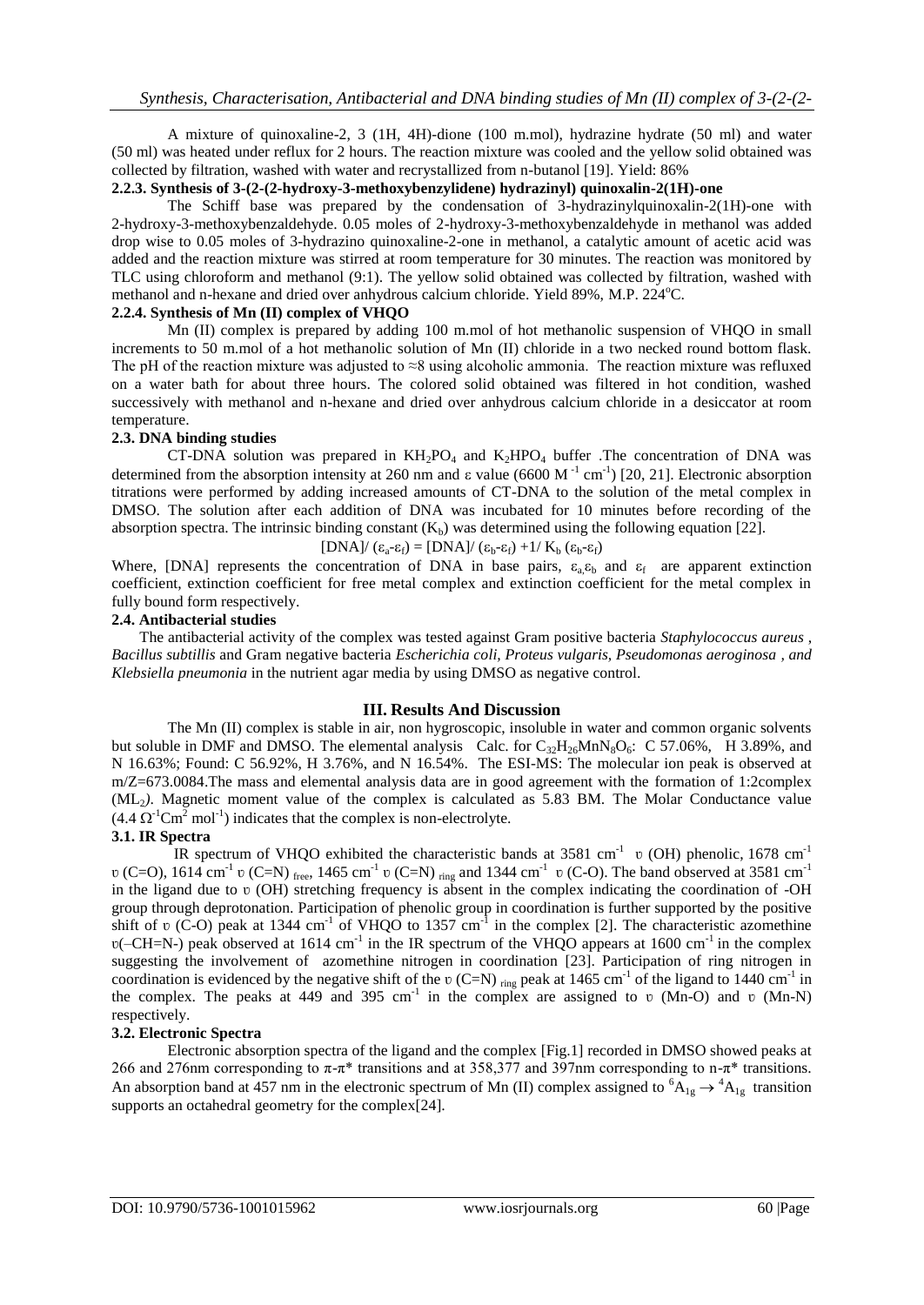A mixture of quinoxaline-2, 3 (1H, 4H)-dione (100 m.mol), hydrazine hydrate (50 ml) and water (50 ml) was heated under reflux for 2 hours. The reaction mixture was cooled and the yellow solid obtained was collected by filtration, washed with water and recrystallized from n-butanol [19]. Yield: 86%

## **2.2.3. Synthesis of 3-(2-(2-hydroxy-3-methoxybenzylidene) hydrazinyl) quinoxalin-2(1H)-one**

The Schiff base was prepared by the condensation of 3-hydrazinylquinoxalin-2(1H)-one with 2-hydroxy-3-methoxybenzaldehyde. 0.05 moles of 2-hydroxy-3-methoxybenzaldehyde in methanol was added drop wise to 0.05 moles of 3-hydrazino quinoxaline-2-one in methanol, a catalytic amount of acetic acid was added and the reaction mixture was stirred at room temperature for 30 minutes. The reaction was monitored by TLC using chloroform and methanol (9:1). The yellow solid obtained was collected by filtration, washed with methanol and n-hexane and dried over anhydrous calcium chloride. Yield 89%, M.P. 224°C.

### **2.2.4. Synthesis of Mn (II) complex of VHQO**

Mn (II) complex is prepared by adding 100 m.mol of hot methanolic suspension of VHQO in small increments to 50 m.mol of a hot methanolic solution of Mn (II) chloride in a two necked round bottom flask. The pH of the reaction mixture was adjusted to  $\approx$ 8 using alcoholic ammonia. The reaction mixture was refluxed on a water bath for about three hours. The colored solid obtained was filtered in hot condition, washed successively with methanol and n-hexane and dried over anhydrous calcium chloride in a desiccator at room temperature.

### **2.3. DNA binding studies**

CT-DNA solution was prepared in  $KH_2PO_4$  and  $K_2HPO_4$  buffer . The concentration of DNA was determined from the absorption intensity at 260 nm and  $\varepsilon$  value (6600 M<sup>-1</sup> cm<sup>-1</sup>) [20, 21]. Electronic absorption titrations were performed by adding increased amounts of CT-DNA to the solution of the metal complex in DMSO. The solution after each addition of DNA was incubated for 10 minutes before recording of the absorption spectra. The intrinsic binding constant  $(K_b)$  was determined using the following equation [22].

 $[DNA]/(\epsilon_a-\epsilon_f) = [DNA]/(\epsilon_b-\epsilon_f) + 1/K_b(\epsilon_b-\epsilon_f)$ 

Where, [DNA] represents the concentration of DNA in base pairs,  $\varepsilon_a \varepsilon_b$  and  $\varepsilon_f$  are apparent extinction coefficient, extinction coefficient for free metal complex and extinction coefficient for the metal complex in fully bound form respectively.

### **2.4. Antibacterial studies**

The antibacterial activity of the complex was tested against Gram positive bacteria *Staphylococcus aureus* , *Bacillus subtillis* and Gram negative bacteria *Escherichia coli, Proteus vulgaris, Pseudomonas aeroginosa , and Klebsiella pneumonia* in the nutrient agar media by using DMSO as negative control.

### **III. Results And Discussion**

The Mn (II) complex is stable in air, non hygroscopic, insoluble in water and common organic solvents but soluble in DMF and DMSO. The elemental analysis Calc. for  $C_{32}H_{26}MnN_8O_6$ : C 57.06%, H 3.89%, and N 16.63%; Found: C 56.92%, H 3.76%, and N 16.54%. The ESI-MS: The molecular ion peak is observed at m/Z=673.0084.The mass and elemental analysis data are in good agreement with the formation of 1:2complex (ML2*)*. Magnetic moment value of the complex is calculated as 5.83 BM. The Molar Conductance value  $(4.4 \Omega^{-1} \text{Cm}^2 \text{ mol}^{-1})$  indicates that the complex is non-electrolyte.

### **3.1. IR Spectra**

IR spectrum of VHQO exhibited the characteristic bands at 3581 cm<sup>-1</sup> v (OH) phenolic, 1678 cm<sup>-1</sup>  $\nu$  (C=O), 1614 cm<sup>-1</sup>  $\nu$  (C=N) <sub>free</sub>, 1465 cm<sup>-1</sup>  $\nu$  (C=N) <sub>ring</sub> and 1344 cm<sup>-1</sup>  $\nu$  (C-O). The band observed at 3581 cm<sup>-1</sup> in the ligand due to  $\upsilon$  (OH) stretching frequency is absent in the complex indicating the coordination of -OH group through deprotonation. Participation of phenolic group in coordination is further supported by the positive shift of  $\upsilon$  (C-O) peak at 1344 cm<sup>-1</sup> of VHQO to 1357 cm<sup>-1</sup> in the complex [2]. The characteristic azomethine  $v$ (-CH=N-) peak observed at 1614 cm<sup>-1</sup> in the IR spectrum of the VHQO appears at 1600 cm<sup>-1</sup> in the complex suggesting the involvement of azomethine nitrogen in coordination [23]. Participation of ring nitrogen in coordination is evidenced by the negative shift of the  $v$  (C=N) <sub>ring</sub> peak at 1465 cm<sup>-1</sup> of the ligand to 1440 cm<sup>-1</sup> in the complex. The peaks at 449 and 395 cm<sup>-1</sup> in the complex are assigned to  $\upsilon$  (Mn-O) and  $\upsilon$  (Mn-N) respectively.

### **3.2. Electronic Spectra**

Electronic absorption spectra of the ligand and the complex [Fig.1] recorded in DMSO showed peaks at 266 and 276nm corresponding to  $\pi$ - $\pi$ <sup>\*</sup> transitions and at 358,377 and 397nm corresponding to n- $\pi$ <sup>\*</sup> transitions. An absorption band at 457 nm in the electronic spectrum of Mn (II) complex assigned to  ${}^6A_{1g} \rightarrow {}^4A_{1g}$  transition supports an octahedral geometry for the complex[24].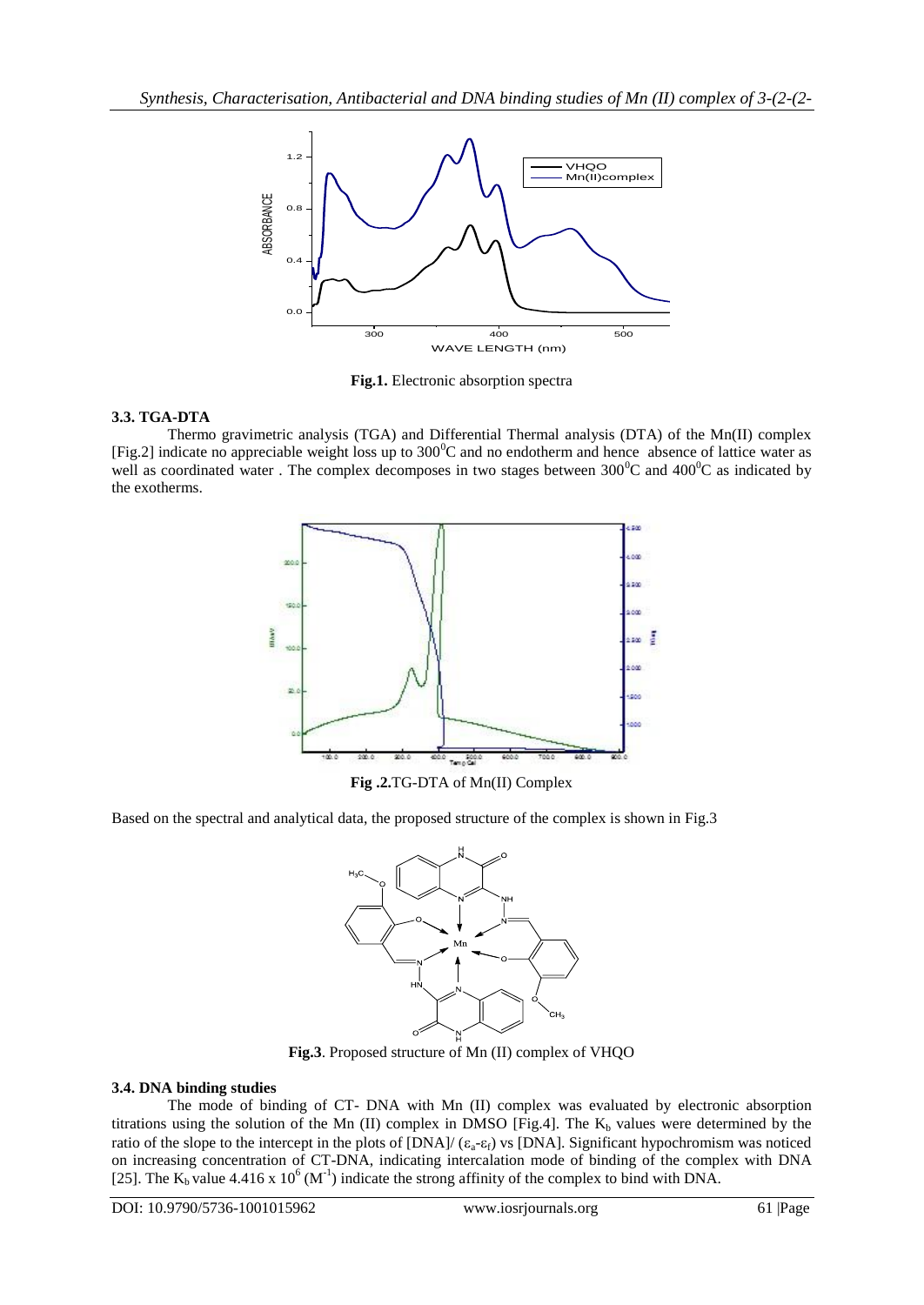

**Fig.1.** Electronic absorption spectra

## **3.3. TGA-DTA**

Thermo gravimetric analysis (TGA) and Differential Thermal analysis (DTA) of the Mn(II) complex [Fig.2] indicate no appreciable weight loss up to  $300^{\circ}$ C and no endotherm and hence absence of lattice water as well as coordinated water. The complex decomposes in two stages between  $300^{\circ}$ C and  $400^{\circ}$ C as indicated by the exotherms.



**Fig .2.**TG-DTA of Mn(II) Complex

Based on the spectral and analytical data, the proposed structure of the complex is shown in Fig.3



**Fig.3**. Proposed structure of Mn (II) complex of VHQO

## **3.4. DNA binding studies**

The mode of binding of CT- DNA with Mn (II) complex was evaluated by electronic absorption titrations using the solution of the Mn (II) complex in DMSO [Fig.4]. The  $K_b$  values were determined by the ratio of the slope to the intercept in the plots of  $[DNA]/(\epsilon_a-\epsilon_f)$  vs  $[DNA]$ . Significant hypochromism was noticed on increasing concentration of CT-DNA, indicating intercalation mode of binding of the complex with DNA [25]. The  $K_b$  value 4.416 x 10<sup>6</sup> (M<sup>-1</sup>) indicate the strong affinity of the complex to bind with DNA.